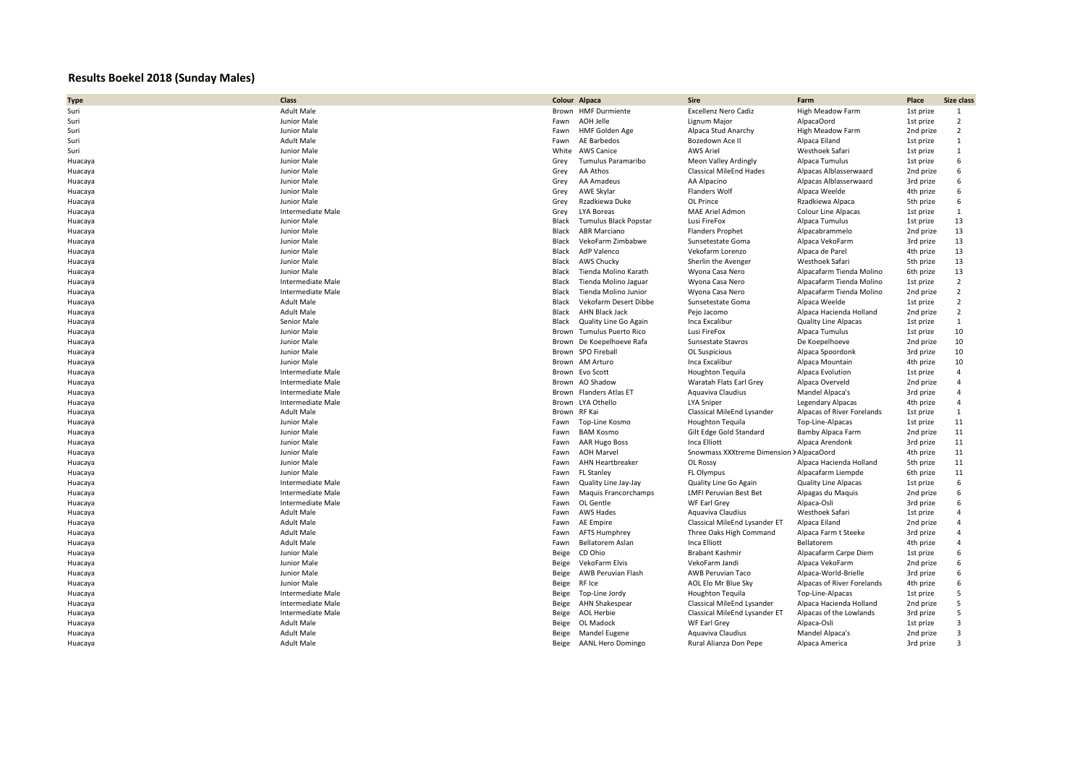## **Results Boekel 2018 (Sunday Males)**

| <b>Type</b> | Class                    |              | Colour Alpaca                | Sire                           | Farm                        | Place     | Size class              |
|-------------|--------------------------|--------------|------------------------------|--------------------------------|-----------------------------|-----------|-------------------------|
| Suri        | <b>Adult Male</b>        |              | Brown HMF Durmiente          | <b>Excellenz Nero Cadiz</b>    | High Meadow Farm            | 1st prize | 1                       |
| Suri        | Junior Male              | Fawn         | AOH Jelle                    | Lignum Major                   | AlpacaOord                  | 1st prize | $\overline{2}$          |
| Suri        | Junior Male              | Fawn         | HMF Golden Age               | Alpaca Stud Anarchy            | High Meadow Farm            | 2nd prize | $\overline{2}$          |
| Suri        | <b>Adult Male</b>        | Fawn         | AE Barbedos                  | Bozedown Ace II                | Alpaca Eiland               | 1st prize | 1                       |
| Suri        | Junior Male              | White        | <b>AWS Canice</b>            | <b>AWS Ariel</b>               | Westhoek Safari             | 1st prize | $\mathbf{1}$            |
| Huacaya     | Junior Male              | Grey         | Tumulus Paramaribo           | <b>Meon Valley Ardingly</b>    | Alpaca Tumulus              | 1st prize | 6                       |
| Huacaya     | Junior Male              | Grey         | AA Athos                     | <b>Classical MileEnd Hades</b> | Alpacas Alblasserwaard      | 2nd prize | 6                       |
| Huacaya     | Junior Male              | Grey         | AA Amadeus                   | AA Alpacino                    | Alpacas Alblasserwaard      | 3rd prize | 6                       |
| Huacaya     | Junior Male              | Grey         | AWE Skylar                   | Flanders Wolf                  | Alpaca Weelde               | 4th prize | 6                       |
| Huacaya     | Junior Male              | Grey         | Rzadkiewa Duke               | OL Prince                      | Rzadkiewa Alpaca            | 5th prize | 6                       |
| Huacaya     | Intermediate Male        | Grey         | LYA Boreas                   | MAE Ariel Admon                | Colour Line Alpacas         | 1st prize | $\mathbf{1}$            |
| Huacaya     | Junior Male              | Black        | <b>Tumulus Black Popstar</b> | Lusi FireFox                   | Alpaca Tumulus              | 1st prize | 13                      |
| Huacaya     | Junior Male              | Black        | <b>ABR Marciano</b>          | <b>Flanders Prophet</b>        | Alpacabrammelo              | 2nd prize | 13                      |
| Huacaya     | Junior Male              | Black        | VekoFarm Zimbabwe            | Sunsetestate Goma              | Alpaca VekoFarm             | 3rd prize | 13                      |
| Huacaya     | Junior Male              | Black        | AdP Valenco                  | Vekofarm Lorenzo               | Alpaca de Parel             | 4th prize | 13                      |
| Huacaya     | Junior Male              | Black        | <b>AWS Chucky</b>            | Sherlin the Avenger            | Westhoek Safari             | 5th prize | 13                      |
| Huacaya     | Junior Male              | Black        | Tienda Molino Karath         | Wyona Casa Nero                | Alpacafarm Tienda Molino    | 6th prize | 13                      |
| Huacaya     | Intermediate Male        | Black        | Tienda Molino Jaguar         | Wyona Casa Nero                | Alpacafarm Tienda Molino    | 1st prize | $\overline{2}$          |
| Huacaya     | Intermediate Male        | Black        | Tienda Molino Junior         | Wyona Casa Nero                | Alpacafarm Tienda Molino    | 2nd prize | $\overline{2}$          |
| Huacaya     | <b>Adult Male</b>        | Black        | Vekofarm Desert Dibbe        | Sunsetestate Goma              | Alpaca Weelde               | 1st prize | $\overline{2}$          |
| Huacaya     | <b>Adult Male</b>        | Black        | AHN Black Jack               | Peio Jacomo                    | Alpaca Hacienda Holland     | 2nd prize | $\overline{2}$          |
| Huacaya     | Senior Male              | Black        | Quality Line Go Again        | Inca Excalibur                 | <b>Quality Line Alpacas</b> | 1st prize | 1                       |
| Huacaya     | Junior Male              | Brown        | Tumulus Puerto Rico          | Lusi FireFox                   | Alpaca Tumulus              | 1st prize | 10                      |
| Huacaya     | Junior Male              | Brown        | De Koepelhoeve Rafa          | Sunsestate Stavros             | De Koepelhoeve              | 2nd prize | 10                      |
| Huacaya     | Junior Male              |              | Brown SPO Fireball           | OL Suspicious                  | Alpaca Spoordonk            | 3rd prize | 10                      |
| Huacaya     | Junior Male              | Brown        | AM Arturo                    | Inca Excalibur                 | Alpaca Mountain             | 4th prize | 10                      |
| Huacaya     | Intermediate Male        |              | Brown Evo Scott              | <b>Houghton Tequila</b>        | Alpaca Evolution            | 1st prize | $\overline{4}$          |
| Huacaya     | Intermediate Male        |              | Brown AO Shadow              | Waratah Flats Earl Grey        | Alpaca Overveld             | 2nd prize | $\overline{4}$          |
| Huacaya     | Intermediate Male        |              | Brown Flanders Atlas ET      | Aquaviva Claudius              | Mandel Alpaca's             | 3rd prize | $\overline{4}$          |
| Huacaya     | Intermediate Male        |              | Brown LYA Othello            | <b>LYA Sniper</b>              | Legendary Alpacas           | 4th prize | $\overline{4}$          |
| Huacaya     | <b>Adult Male</b>        | Brown RF Kai |                              | Classical MileEnd Lysander     | Alpacas of River Forelands  | 1st prize | $\mathbf{1}$            |
| Huacaya     | Junior Male              | Fawn         | Top-Line Kosmo               | Houghton Tequila               | Top-Line-Alpacas            | 1st prize | 11                      |
| Huacaya     | Junior Male              | Fawn         | <b>BAM Kosmo</b>             | Gilt Edge Gold Standard        | Bamby Alpaca Farm           | 2nd prize | 11                      |
| Huacaya     | Junior Male              | Fawn         | <b>AAR Hugo Boss</b>         | Inca Elliott                   | Alpaca Arendonk             | 3rd prize | 11                      |
| Huacaya     | Junior Male              | Fawn         | <b>AOH Marvel</b>            | Snowmass XXXtreme Dimension    | > AlpacaOord                | 4th prize | 11                      |
| Huacaya     | Junior Male              | Fawn         | AHN Heartbreaker             | OL Rossy                       | Alpaca Hacienda Holland     | 5th prize | 11                      |
| Huacaya     | Junior Male              | Fawn         | <b>FL Stanley</b>            | FL Olympus                     | Alpacafarm Liempde          | 6th prize | 11                      |
| Huacaya     | Intermediate Male        | Fawn         | Quality Line Jay-Jay         | Quality Line Go Again          | <b>Quality Line Alpacas</b> | 1st prize | 6                       |
| Huacaya     | <b>Intermediate Male</b> | Fawn         | Maquis Francorchamps         | <b>LMFI Peruvian Best Bet</b>  | Alpagas du Maquis           | 2nd prize | 6                       |
| Huacaya     | Intermediate Male        | Fawn         | OL Gentle                    | WF Earl Grey                   | Alpaca-Osli                 | 3rd prize | 6                       |
| Huacaya     | <b>Adult Male</b>        | Fawn         | <b>AWS Hades</b>             | Aquaviva Claudius              | Westhoek Safari             | 1st prize | $\Delta$                |
| Huacaya     | <b>Adult Male</b>        | Fawn         | AE Empire                    | Classical MileEnd Lysander ET  | Alpaca Eiland               | 2nd prize | $\overline{4}$          |
| Huacaya     | <b>Adult Male</b>        | Fawn         | <b>AFTS Humphrey</b>         | Three Oaks High Command        | Alpaca Farm t Steeke        | 3rd prize | $\Delta$                |
| Huacaya     | <b>Adult Male</b>        | Fawn         | <b>Bellatorem Aslan</b>      | Inca Elliott                   | Bellatorem                  | 4th prize | $\overline{4}$          |
| Huacaya     | Junior Male              | Beige        | CD Ohio                      | <b>Brabant Kashmir</b>         | Alpacafarm Carpe Diem       | 1st prize | 6                       |
| Huacaya     | Junior Male              | Beige        | VekoFarm Elvis               | VekoFarm Jandi                 | Alpaca VekoFarm             | 2nd prize | 6                       |
| Huacaya     | Junior Male              | Beige        | AWB Peruvian Flash           | AWB Peruvian Taco              | Alpaca-World-Brielle        | 3rd prize | 6                       |
| Huacaya     | Junior Male              | Beige        | RF Ice                       | AOL Elo Mr Blue Sky            | Alpacas of River Forelands  | 4th prize | 6                       |
| Huacaya     | Intermediate Male        | Beige        | Top-Line Jordy               | <b>Houghton Tequila</b>        | Top-Line-Alpacas            | 1st prize | 5                       |
| Huacaya     | Intermediate Male        | Beige        | AHN Shakespear               | Classical MileEnd Lysander     | Alpaca Hacienda Holland     | 2nd prize | 5                       |
| Huacaya     | Intermediate Male        | Beige        | AOL Herbie                   | Classical MileEnd Lysander ET  | Alpacas of the Lowlands     | 3rd prize | 5                       |
| Huacaya     | <b>Adult Male</b>        | Beige        | OL Madock                    | WF Earl Grey                   | Alpaca-Osli                 | 1st prize | $\overline{\mathbf{3}}$ |
| Huacaya     | <b>Adult Male</b>        | Beige        | Mandel Eugene                | Aquaviva Claudius              | Mandel Alpaca's             | 2nd prize | $\overline{\mathbf{3}}$ |
| Huacaya     | <b>Adult Male</b>        | Beige        | <b>AANL Hero Domingo</b>     | Rural Alianza Don Pepe         | Alpaca America              | 3rd prize | $\overline{3}$          |